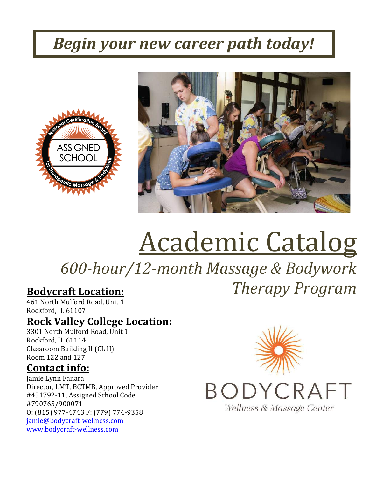## *Begin your new career path today!*





# Academic Catalog

*600-hour/12-month Massage & Bodywork Therapy Program*

## **Bodycraft Location:**

461 North Mulford Road, Unit 1 Rockford, IL 61107

## **Rock Valley College Location:**

3301 North Mulford Road, Unit 1 Rockford, IL 61114 Classroom Building II (CL II) Room 122 and 127

### **Contact info:**

Jamie Lynn Fanara Director, LMT, BCTMB, Approved Provider #451792-11, Assigned School Code #790765/900071 O: (815) 977-4743 F: (779) 774-9358 [jamie@bodycraft-wellness.com](mailto:jamie@bodycraft-wellness.com) [www.bodycraft-wellness.com](http://www.bodycraft-wellness.com/)



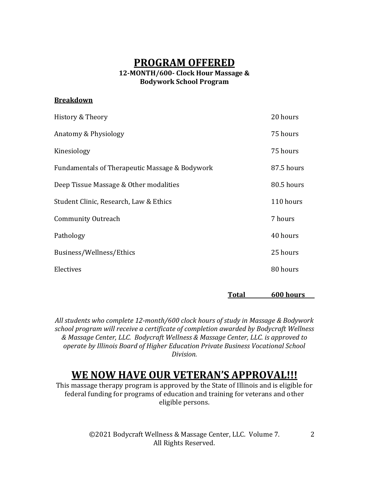#### **PROGRAM OFFERED**

#### **12-MONTH/600- Clock Hour Massage & Bodywork School Program**

#### **Breakdown**

| History & Theory                               | 20 hours   |
|------------------------------------------------|------------|
| Anatomy & Physiology                           | 75 hours   |
| Kinesiology                                    | 75 hours   |
| Fundamentals of Therapeutic Massage & Bodywork | 87.5 hours |
| Deep Tissue Massage & Other modalities         | 80.5 hours |
| Student Clinic, Research, Law & Ethics         | 110 hours  |
| <b>Community Outreach</b>                      | 7 hours    |
| Pathology                                      | 40 hours   |
| Business/Wellness/Ethics                       | 25 hours   |
| Electives                                      | 80 hours   |
|                                                |            |

**Total 600 hours**

*All students who complete 12-month/600 clock hours of study in Massage & Bodywork school program will receive a certificate of completion awarded by Bodycraft Wellness & Massage Center, LLC. Bodycraft Wellness & Massage Center, LLC. is approved to operate by Illinois Board of Higher Education Private Business Vocational School Division.*

#### **WE NOW HAVE OUR VETERAN'S APPROVAL!!!**

This massage therapy program is approved by the State of Illinois and is eligible for federal funding for programs of education and training for veterans and other eligible persons.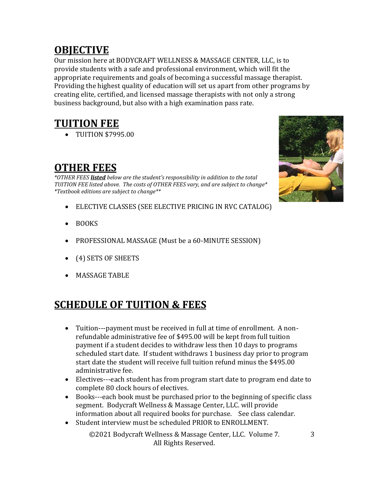## **OBJECTIVE**

Our mission here at BODYCRAFT WELLNESS & MASSAGE CENTER, LLC, is to provide students with a safe and professional environment, which will fit the appropriate requirements and goals of becoming a successful massage therapist. Providing the highest quality of education will set us apart from other programs by creating elite, certified, and licensed massage therapists with not only a strong business background, but also with a high examination pass rate.

## **TUITION FEE**

• TUITION \$7995.00

## **OTHER FEES**

*\*OTHER FEES listed below are the student's responsibility in addition to the total TUITION FEE listed above. The costs of OTHER FEES vary, and are subject to change\* \*Textbook editions are subject to change\*\**

- ELECTIVE CLASSES (SEE ELECTIVE PRICING IN RVC CATALOG)
- BOOKS
- PROFESSIONAL MASSAGE (Must be a 60-MINUTE SESSION)
- (4) SETS OF SHEETS
- MASSAGE TABLE

## **SCHEDULE OF TUITION & FEES**

- Tuition---payment must be received in full at time of enrollment. A nonrefundable administrative fee of \$495.00 will be kept from full tuition payment if a student decides to withdraw less then 10 days to programs scheduled start date. If student withdraws 1 business day prior to program start date the student will receive full tuition refund minus the \$495.00 administrative fee.
- Electives---each student has from program start date to program end date to complete 80 clock hours of electives.
- Books---each book must be purchased prior to the beginning of specific class segment. Bodycraft Wellness & Massage Center, LLC. will provide information about all required books for purchase. See class calendar.
- Student interview must be scheduled PRIOR to ENROLLMENT.

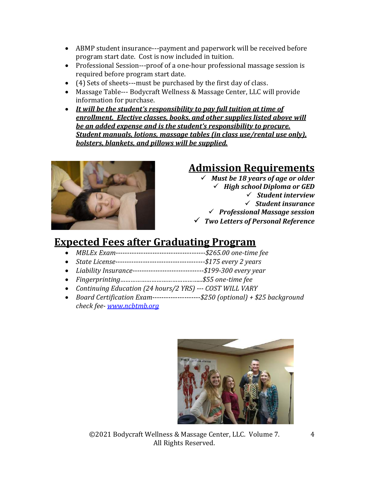- ABMP student insurance---payment and paperwork will be received before program start date. Cost is now included in tuition.
- Professional Session---proof of a one-hour professional massage session is required before program start date.
- (4) Sets of sheets---must be purchased by the first day of class.
- Massage Table--- Bodycraft Wellness & Massage Center, LLC will provide information for purchase.
- *It will be the student's responsibility to pay full tuition at time of enrollment. Elective classes, books, and other supplies listed above will be an added expense and is the student's responsibility to procure. Student manuals, lotions, massage tables (in class use/rental use only), bolsters, blankets, and pillows will be supplied.*



## **Admission Requirements**

✓ *Must be 18 years of age or older* ✓ *High school Diploma or GED* ✓ *Student interview* ✓ *Student insurance* ✓ *Professional Massage session* ✓ *Two Letters of Personal Reference*

## **Expected Fees after Graduating Program**

- *MBLEx Exam---------------------------------------\$265.00 one-time fee*
- *State License---------------------------------------\$175 every 2 years*
- *Liability Insurance-------------------------------\$199-300 every year*
- *Fingerprinting………………………………………...\$55 one-time fee*
- *Continuing Education (24 hours/2 YRS) --- COST WILL VARY*
- *Board Certification Exam---------------------\$250 (optional) + \$25 background check fee- [www.ncbtmb.org](http://www.ncbtmb.org/)*

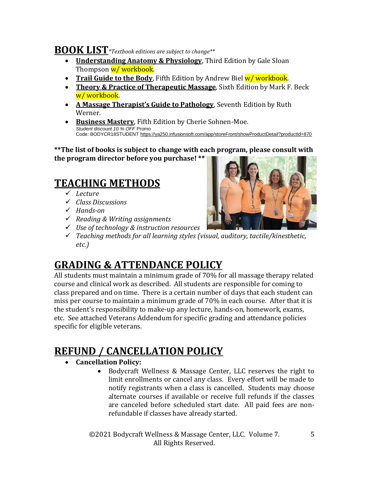#### **BOOK LIST***\*Textbook editions are subject to change\*\**

- **Understanding Anatomy & Physiology**, Third Edition by Gale Sloan Thompson w/ workbook.
- **Trail Guide to the Body**, Fifth Edition by Andrew Biel w/workbook.
- **Theory & Practice of Therapeutic Massage**, Sixth Edition by Mark F. Beck w/ workbook.
- **A Massage Therapist's Guide to Pathology**, Seventh Edition by Ruth Werner.
- **Business Mastery**, Fifth Edition by Cherie Sohnen-Moe. *Student discount 10 % OFF* Promo Code: BODYCR18STUDENT [https://ya250.infusionsoft.com/app/storeFront/showProductDetail?productId=870](https://ya250.infusionsoft.com/app/linkClick/26914/108d3886d81451a8/1567476/5dbf7d37e05bea1c)

**\*\*The list of books is subject to change with each program, please consult with the program director before you purchase! \*\***

## **TEACHING METHODS**

- ✓ *Lecture*
- ✓ *Class Discussions*
- ✓ *Hands-on*
- ✓ *Reading & Writing assignments*



✓ *Teaching methods for all learning styles (visual, auditory, tactile/kinesthetic, etc.)*

## **GRADING & ATTENDANCE POLICY**

✓ *Use of technology & instruction resources*

All students must maintain a minimum grade of 70% for all massage therapy related course and clinical work as described. All students are responsible for coming to class prepared and on time. There is a certain number of days that each student can miss per course to maintain a minimum grade of 70% in each course. After that it is the student's responsibility to make-up any lecture, hands-on, homework, exams, etc. See attached Veterans Addendum for specific grading and attendance policies specific for eligible veterans.

## **REFUND / CANCELLATION POLICY**

- **Cancellation Policy:** 
	- Bodycraft Wellness & Massage Center, LLC reserves the right to limit enrollments or cancel any class. Every effort will be made to notify registrants when a class is cancelled. Students may choose alternate courses if available or receive full refunds if the classes are canceled before scheduled start date. All paid fees are nonrefundable if classes have already started.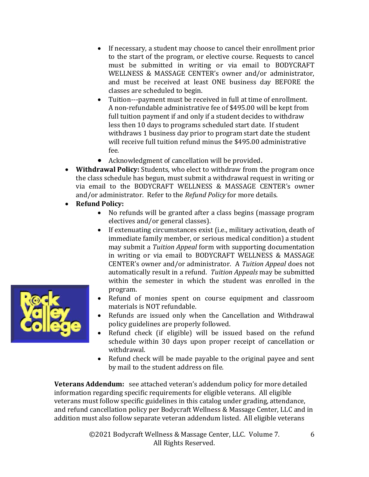- If necessary, a student may choose to cancel their enrollment prior to the start of the program, or elective course. Requests to cancel must be submitted in writing or via email to BODYCRAFT WELLNESS & MASSAGE CENTER's owner and/or administrator, and must be received at least ONE business day BEFORE the classes are scheduled to begin.
- Tuition---payment must be received in full at time of enrollment. A non-refundable administrative fee of \$495.00 will be kept from full tuition payment if and only if a student decides to withdraw less then 10 days to programs scheduled start date. If student withdraws 1 business day prior to program start date the student will receive full tuition refund minus the \$495.00 administrative fee.
- Acknowledgment of cancellation will be provided.
- **Withdrawal Policy:** Students, who elect to withdraw from the program once the class schedule has begun, must submit a withdrawal request in writing or via email to the BODYCRAFT WELLNESS & MASSAGE CENTER's owner and/or administrator. Refer to the *Refund Policy* for more details.
- **Refund Policy:**
	- No refunds will be granted after a class begins (massage program electives and/or general classes).
	- If extenuating circumstances exist (i.e., military activation, death of immediate family member, or serious medical condition) a student may submit a *Tuition Appeal* form with supporting documentation in writing or via email to BODYCRAFT WELLNESS & MASSAGE CENTER's owner and/or administrator. A *Tuition Appeal* does not automatically result in a refund. *Tuition Appeals* may be submitted within the semester in which the student was enrolled in the program.
	- Refund of monies spent on course equipment and classroom materials is NOT refundable.
	- Refunds are issued only when the Cancellation and Withdrawal policy guidelines are properly followed.
	- Refund check (if eligible) will be issued based on the refund schedule within 30 days upon proper receipt of cancellation or withdrawal.
	- Refund check will be made payable to the original payee and sent by mail to the student address on file.

**Veterans Addendum:** see attached veteran's addendum policy for more detailed information regarding specific requirements for eligible veterans. All eligible veterans must follow specific guidelines in this catalog under grading, attendance, and refund cancellation policy per Bodycraft Wellness & Massage Center, LLC and in addition must also follow separate veteran addendum listed. All eligible veterans

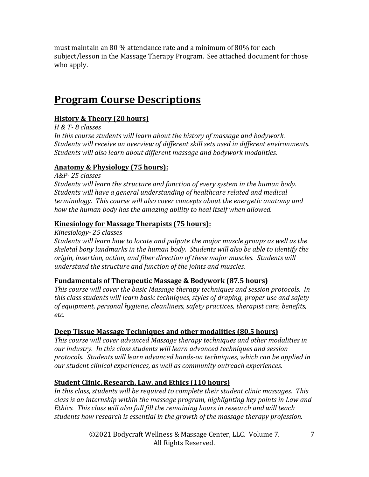must maintain an 80 % attendance rate and a minimum of 80% for each subject/lesson in the Massage Therapy Program. See attached document for those who apply.

### **Program Course Descriptions**

#### **History & Theory (20 hours)**

*H & T- 8 classes*

*In this course students will learn about the history of massage and bodywork. Students will receive an overview of different skill sets used in different environments. Students will also learn about different massage and bodywork modalities.* 

#### **Anatomy & Physiology (75 hours):**

*A&P- 25 classes*

*Students will learn the structure and function of every system in the human body. Students will have a general understanding of healthcare related and medical terminology. This course will also cover concepts about the energetic anatomy and how the human body has the amazing ability to heal itself when allowed.* 

#### **Kinesiology for Massage Therapists (75 hours):**

*Kinesiology- 25 classes*

*Students will learn how to locate and palpate the major muscle groups as well as the skeletal bony landmarks in the human body. Students will also be able to identify the origin, insertion, action, and fiber direction of these major muscles. Students will understand the structure and function of the joints and muscles.*

#### **Fundamentals of Therapeutic Massage & Bodywork (87.5 hours)**

*This course will cover the basic Massage therapy techniques and session protocols. In this class students will learn basic techniques, styles of draping, proper use and safety of equipment, personal hygiene, cleanliness, safety practices, therapist care, benefits, etc.* 

#### **Deep Tissue Massage Techniques and other modalities (80.5 hours)**

*This course will cover advanced Massage therapy techniques and other modalities in our industry. In this class students will learn advanced techniques and session protocols. Students will learn advanced hands-on techniques, which can be applied in our student clinical experiences, as well as community outreach experiences.* 

#### **Student Clinic, Research, Law, and Ethics (110 hours)**

*In this class, students will be required to complete their student clinic massages. This class is an internship within the massage program, highlighting key points in Law and Ethics. This class will also full fill the remaining hours in research and will teach students how research is essential in the growth of the massage therapy profession.*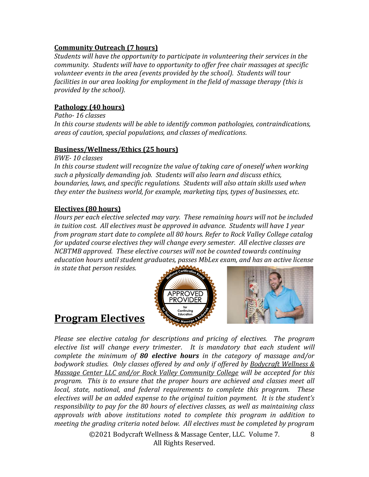#### **Community Outreach (7 hours)**

*Students will have the opportunity to participate in volunteering their services in the community. Students will have to opportunity to offer free chair massages at specific volunteer events in the area (events provided by the school). Students will tour facilities in our area looking for employment in the field of massage therapy (this is provided by the school).* 

#### **Pathology (40 hours)**

*Patho- 16 classes In this course students will be able to identify common pathologies, contraindications, areas of caution, special populations, and classes of medications.*

#### **Business/Wellness/Ethics (25 hours)**

*BWE- 10 classes*

In this course student will recognize the value of taking care of oneself when working *such a physically demanding job. Students will also learn and discuss ethics, boundaries, laws, and specific regulations. Students will also attain skills used when they enter the business world, for example, marketing tips, types of businesses, etc.*

#### **Electives (80 hours)**

*Hours per each elective selected may vary. These remaining hours will not be included in tuition cost. All electives must be approved in advance. Students will have 1 year from program start date to complete all 80 hours. Refer to Rock Valley College catalog for updated course electives they will change every semester. All elective classes are NCBTMB approved. These elective courses will not be counted towards continuing education hours until student graduates, passes MbLex exam, and has an active license in state that person resides.* 

APPROVED

#### **Program Electives**

*Please see elective catalog for descriptions and pricing of electives. The program elective list will change every trimester*. *It is mandatory that each student will complete the minimum of 80 elective hours in the category of massage and/or bodywork studies. Only classes offered by and only if offered by Bodycraft Wellness & Massage Center LLC and/or Rock Valley Community College will be accepted for this program. This is to ensure that the proper hours are achieved and classes meet all local, state, national, and federal requirements to complete this program. These electives will be an added expense to the original tuition payment. It is the student's responsibility to pay for the 80 hours of electives classes, as well as maintaining class approvals with above institutions noted to complete this program in addition to meeting the grading criteria noted below. All electives must be completed by program*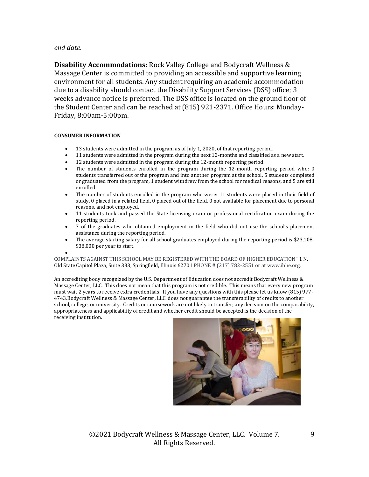#### *end date.*

**Disability Accommodations:** Rock Valley College and Bodycraft Wellness & Massage Center is committed to providing an accessible and supportive learning environment for all students. Any student requiring an academic accommodation due to a disability should contact the Disability Support Services (DSS) office; 3 weeks advance notice is preferred. The DSS office is located on the ground floor of the Student Center and can be reached at (815) 921-2371. Office Hours: Monday-Friday, 8:00am-5:00pm.

#### **CONSUMER INFORMATION**

- 13 students were admitted in the program as of July 1, 2020, of that reporting period.
- 11 students were admitted in the program during the next 12-months and classified as a new start.
- 12 students were admitted in the program during the 12-month reporting period.
- The number of students enrolled in the program during the 12-month reporting period who: 0 students transferred out of the program and into another program at the school, 5 students completed or graduated from the program, 1 student withdrew from the school for medical reasons, and 5 are still enrolled.
- The number of students enrolled in the program who were: 11 students were placed in their field of study, 0 placed in a related field, 0 placed out of the field, 0 not available for placement due to personal reasons, and not employed.
- 11 students took and passed the State licensing exam or professional certification exam during the reporting period.
- 7 of the graduates who obtained employment in the field who did not use the school's placement assistance during the reporting period.
- The average starting salary for all school graduates employed during the reporting period is \$23,108- \$38,000 per year to start.

• COMPLAINTS AGAINST THIS SCHOOL MAY BE REGISTERED WITH THE BOARD OF HIGHER EDUCATION" 1 N. Old State Capitol Plaza, Suite 333, Springfield, Illinois 62701 PHONE # (217) 782-2551 or at www.ibhe.org.

An accrediting body recognized by the U.S. Department of Education does not accredit Bodycraft Wellness & Massage Center, LLC. This does not mean that this program is not credible. This means that every new program must wait 2 years to receive extra credentials. If you have any questions with this please let us know (815) 977- 4743.Bodycraft Wellness & Massage Center, LLC. does not guarantee the transferability of credits to another school, college, or university. Credits or coursework are not likely to transfer; any decision on the comparability, appropriateness and applicability of credit and whether credit should be accepted is the decision of the receiving institution.



9